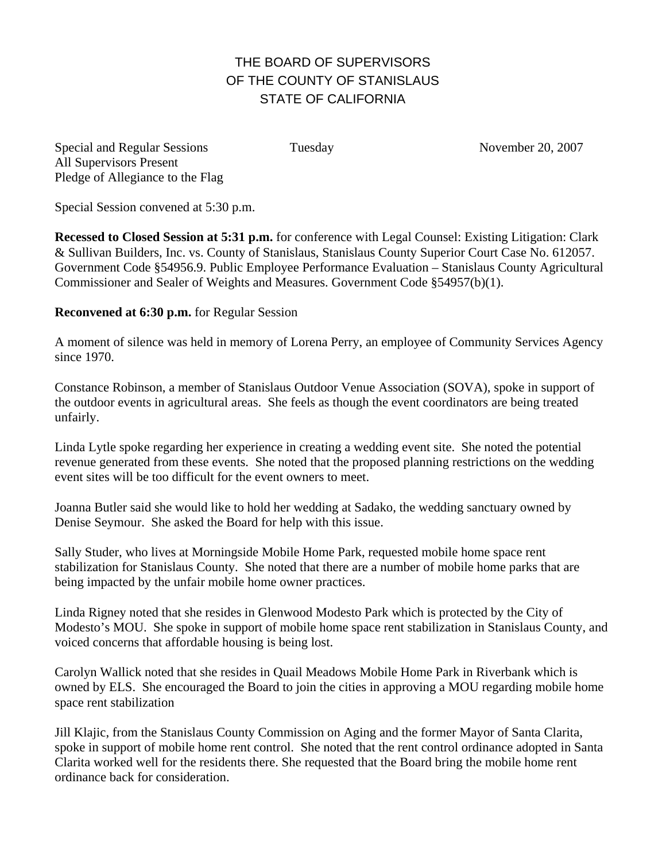## THE BOARD OF SUPERVISORS OF THE COUNTY OF STANISLAUS STATE OF CALIFORNIA

Special and Regular Sessions Tuesday November 20, 2007 All Supervisors Present Pledge of Allegiance to the Flag

Special Session convened at 5:30 p.m.

**Recessed to Closed Session at 5:31 p.m.** for conference with Legal Counsel: Existing Litigation: Clark & Sullivan Builders, Inc. vs. County of Stanislaus, Stanislaus County Superior Court Case No. 612057. Government Code §54956.9. Public Employee Performance Evaluation – Stanislaus County Agricultural Commissioner and Sealer of Weights and Measures. Government Code §54957(b)(1).

## **Reconvened at 6:30 p.m.** for Regular Session

A moment of silence was held in memory of Lorena Perry, an employee of Community Services Agency since 1970.

Constance Robinson, a member of Stanislaus Outdoor Venue Association (SOVA), spoke in support of the outdoor events in agricultural areas. She feels as though the event coordinators are being treated unfairly.

Linda Lytle spoke regarding her experience in creating a wedding event site. She noted the potential revenue generated from these events. She noted that the proposed planning restrictions on the wedding event sites will be too difficult for the event owners to meet.

Joanna Butler said she would like to hold her wedding at Sadako, the wedding sanctuary owned by Denise Seymour. She asked the Board for help with this issue.

Sally Studer, who lives at Morningside Mobile Home Park, requested mobile home space rent stabilization for Stanislaus County. She noted that there are a number of mobile home parks that are being impacted by the unfair mobile home owner practices.

Linda Rigney noted that she resides in Glenwood Modesto Park which is protected by the City of Modesto's MOU. She spoke in support of mobile home space rent stabilization in Stanislaus County, and voiced concerns that affordable housing is being lost.

Carolyn Wallick noted that she resides in Quail Meadows Mobile Home Park in Riverbank which is owned by ELS. She encouraged the Board to join the cities in approving a MOU regarding mobile home space rent stabilization

Jill Klajic, from the Stanislaus County Commission on Aging and the former Mayor of Santa Clarita, spoke in support of mobile home rent control. She noted that the rent control ordinance adopted in Santa Clarita worked well for the residents there. She requested that the Board bring the mobile home rent ordinance back for consideration.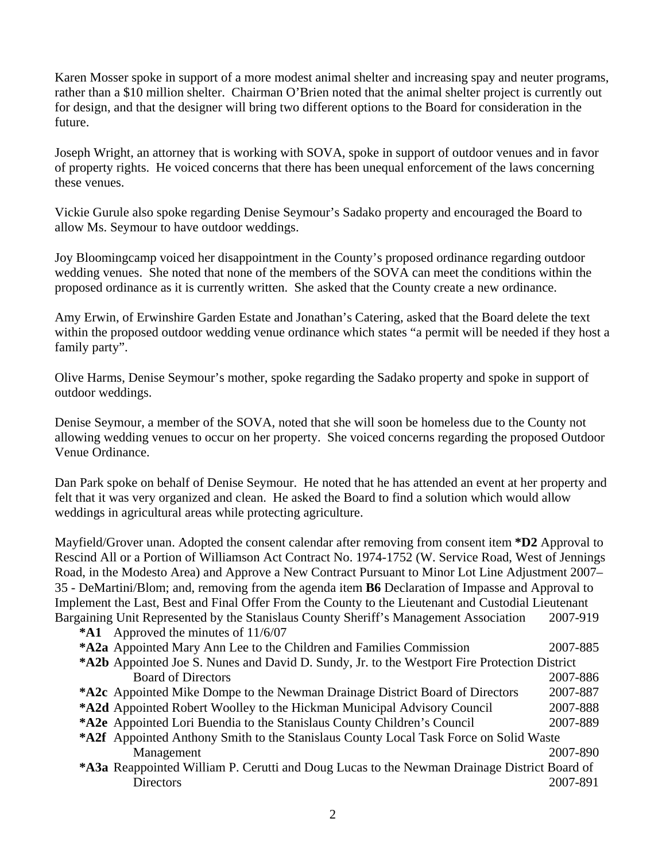Karen Mosser spoke in support of a more modest animal shelter and increasing spay and neuter programs, rather than a \$10 million shelter. Chairman O'Brien noted that the animal shelter project is currently out for design, and that the designer will bring two different options to the Board for consideration in the future.

Joseph Wright, an attorney that is working with SOVA, spoke in support of outdoor venues and in favor of property rights. He voiced concerns that there has been unequal enforcement of the laws concerning these venues.

Vickie Gurule also spoke regarding Denise Seymour's Sadako property and encouraged the Board to allow Ms. Seymour to have outdoor weddings.

Joy Bloomingcamp voiced her disappointment in the County's proposed ordinance regarding outdoor wedding venues. She noted that none of the members of the SOVA can meet the conditions within the proposed ordinance as it is currently written. She asked that the County create a new ordinance.

Amy Erwin, of Erwinshire Garden Estate and Jonathan's Catering, asked that the Board delete the text within the proposed outdoor wedding venue ordinance which states "a permit will be needed if they host a family party".

Olive Harms, Denise Seymour's mother, spoke regarding the Sadako property and spoke in support of outdoor weddings.

Denise Seymour, a member of the SOVA, noted that she will soon be homeless due to the County not allowing wedding venues to occur on her property. She voiced concerns regarding the proposed Outdoor Venue Ordinance.

Dan Park spoke on behalf of Denise Seymour. He noted that he has attended an event at her property and felt that it was very organized and clean. He asked the Board to find a solution which would allow weddings in agricultural areas while protecting agriculture.

Mayfield/Grover unan. Adopted the consent calendar after removing from consent item **\*D2** Approval to Rescind All or a Portion of Williamson Act Contract No. 1974-1752 (W. Service Road, West of Jennings Road, in the Modesto Area) and Approve a New Contract Pursuant to Minor Lot Line Adjustment 2007– 35 - DeMartini/Blom; and, removing from the agenda item **B6** Declaration of Impasse and Approval to Implement the Last, Best and Final Offer From the County to the Lieutenant and Custodial Lieutenant Bargaining Unit Represented by the Stanislaus County Sheriff's Management Association 2007-919

**\*A1** Approved the minutes of 11/6/07 **\*A2 a** Appointed Mary Ann Lee to the Children and Families Commission 2007-885 **\*A2 b** Appointed Joe S. Nunes and David D. Sundy, Jr. to the Westport Fire Protection District Board of Directors 2007-886 **\*A2c** Appointed Mike Dompe to the Newman Drainage District Board of Directors 2007-887 **\*A2 d** Appointed Robert Woolley to the Hickman Municipal Advisory Council 2007-888 **\*A2 e** Appointed Lori Buendia to the Stanislaus County Children's Council 2007-889 **\*A2f** Appointed Anthony Smith to the Stanislaus County Local Task Force on Solid Waste Management 2007-890 **\*A3 a** Reappointed William P. Cerutti and Doug Lucas to the Newman Drainage District Board of Directors 2007-891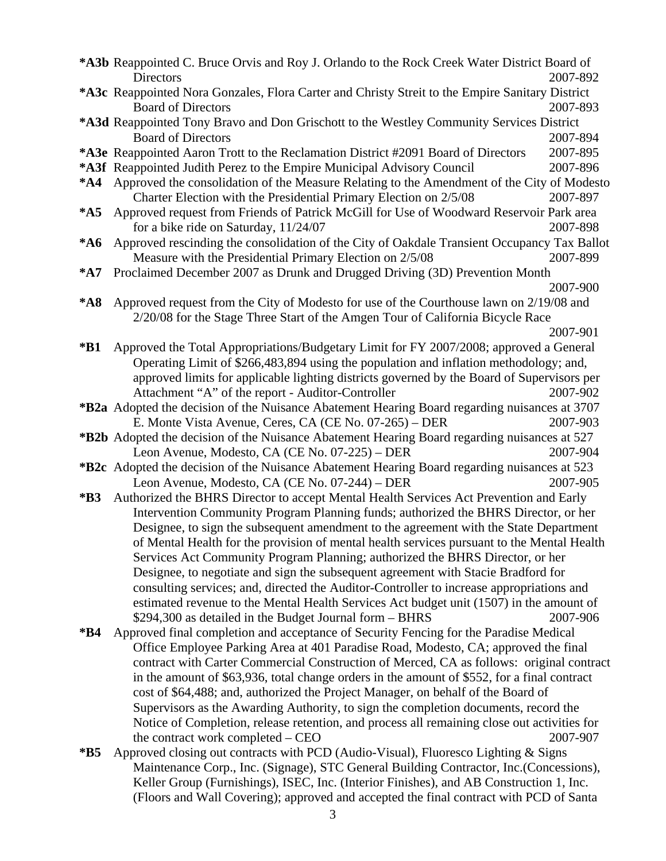|        | *A3b Reappointed C. Bruce Orvis and Roy J. Orlando to the Rock Creek Water District Board of                                                                                 |                                                                                            |  |
|--------|------------------------------------------------------------------------------------------------------------------------------------------------------------------------------|--------------------------------------------------------------------------------------------|--|
|        | <b>Directors</b>                                                                                                                                                             | 2007-892                                                                                   |  |
|        | *A3c Reappointed Nora Gonzales, Flora Carter and Christy Streit to the Empire Sanitary District                                                                              |                                                                                            |  |
|        | <b>Board of Directors</b>                                                                                                                                                    | 2007-893                                                                                   |  |
|        | *A3d Reappointed Tony Bravo and Don Grischott to the Westley Community Services District                                                                                     |                                                                                            |  |
|        | <b>Board of Directors</b>                                                                                                                                                    | 2007-894                                                                                   |  |
|        | *A3e Reappointed Aaron Trott to the Reclamation District #2091 Board of Directors                                                                                            | 2007-895                                                                                   |  |
|        | *A3f Reappointed Judith Perez to the Empire Municipal Advisory Council                                                                                                       | 2007-896                                                                                   |  |
| $*AA$  |                                                                                                                                                                              | Approved the consolidation of the Measure Relating to the Amendment of the City of Modesto |  |
|        | Charter Election with the Presidential Primary Election on 2/5/08                                                                                                            | 2007-897                                                                                   |  |
| $*$ A5 | Approved request from Friends of Patrick McGill for Use of Woodward Reservoir Park area                                                                                      |                                                                                            |  |
|        | for a bike ride on Saturday, 11/24/07                                                                                                                                        | 2007-898                                                                                   |  |
| $*AG$  | Approved rescinding the consolidation of the City of Oakdale Transient Occupancy Tax Ballot                                                                                  |                                                                                            |  |
|        | Measure with the Presidential Primary Election on 2/5/08                                                                                                                     | 2007-899                                                                                   |  |
| $*$ A7 | Proclaimed December 2007 as Drunk and Drugged Driving (3D) Prevention Month                                                                                                  |                                                                                            |  |
|        |                                                                                                                                                                              | 2007-900                                                                                   |  |
| $*A8$  | Approved request from the City of Modesto for use of the Courthouse lawn on 2/19/08 and                                                                                      |                                                                                            |  |
|        | 2/20/08 for the Stage Three Start of the Amgen Tour of California Bicycle Race                                                                                               |                                                                                            |  |
|        |                                                                                                                                                                              | 2007-901                                                                                   |  |
| $*B1$  | Approved the Total Appropriations/Budgetary Limit for FY 2007/2008; approved a General                                                                                       |                                                                                            |  |
|        | Operating Limit of \$266,483,894 using the population and inflation methodology; and,                                                                                        |                                                                                            |  |
|        | approved limits for applicable lighting districts governed by the Board of Supervisors per                                                                                   |                                                                                            |  |
|        | Attachment "A" of the report - Auditor-Controller                                                                                                                            | 2007-902                                                                                   |  |
|        | <b>*B2a</b> Adopted the decision of the Nuisance Abatement Hearing Board regarding nuisances at 3707                                                                         |                                                                                            |  |
|        | E. Monte Vista Avenue, Ceres, CA (CE No. 07-265) – DER                                                                                                                       | 2007-903                                                                                   |  |
|        | <b>*B2b</b> Adopted the decision of the Nuisance Abatement Hearing Board regarding nuisances at 527                                                                          |                                                                                            |  |
|        | Leon Avenue, Modesto, CA (CE No. 07-225) – DER                                                                                                                               | 2007-904                                                                                   |  |
|        | <b>*B2c</b> Adopted the decision of the Nuisance Abatement Hearing Board regarding nuisances at 523                                                                          | 2007-905                                                                                   |  |
|        | Leon Avenue, Modesto, CA (CE No. 07-244) – DER                                                                                                                               |                                                                                            |  |
| $*B3$  | Authorized the BHRS Director to accept Mental Health Services Act Prevention and Early                                                                                       |                                                                                            |  |
|        | Intervention Community Program Planning funds; authorized the BHRS Director, or her<br>Designee, to sign the subsequent amendment to the agreement with the State Department |                                                                                            |  |
|        | of Mental Health for the provision of mental health services pursuant to the Mental Health                                                                                   |                                                                                            |  |
|        | Services Act Community Program Planning; authorized the BHRS Director, or her                                                                                                |                                                                                            |  |
|        | Designee, to negotiate and sign the subsequent agreement with Stacie Bradford for                                                                                            |                                                                                            |  |
|        | consulting services; and, directed the Auditor-Controller to increase appropriations and                                                                                     |                                                                                            |  |
|        | estimated revenue to the Mental Health Services Act budget unit (1507) in the amount of                                                                                      |                                                                                            |  |
|        | \$294,300 as detailed in the Budget Journal form - BHRS                                                                                                                      | 2007-906                                                                                   |  |
| $*B4$  | Approved final completion and acceptance of Security Fencing for the Paradise Medical                                                                                        |                                                                                            |  |
|        | Office Employee Parking Area at 401 Paradise Road, Modesto, CA; approved the final                                                                                           |                                                                                            |  |
|        | contract with Carter Commercial Construction of Merced, CA as follows: original contract                                                                                     |                                                                                            |  |
|        | in the amount of \$63,936, total change orders in the amount of \$552, for a final contract                                                                                  |                                                                                            |  |
|        | cost of \$64,488; and, authorized the Project Manager, on behalf of the Board of                                                                                             |                                                                                            |  |
|        | Supervisors as the Awarding Authority, to sign the completion documents, record the                                                                                          |                                                                                            |  |
|        | Notice of Completion, release retention, and process all remaining close out activities for                                                                                  |                                                                                            |  |
|        | the contract work completed – CEO                                                                                                                                            | 2007-907                                                                                   |  |
| $*B5$  | Approved closing out contracts with PCD (Audio-Visual), Fluoresco Lighting & Signs                                                                                           |                                                                                            |  |
|        | Maintenance Corp., Inc. (Signage), STC General Building Contractor, Inc. (Concessions),                                                                                      |                                                                                            |  |

Keller Group (Furnishings), ISEC, Inc. (Interior Finishes), and AB Construction 1, Inc. (Floors and Wall Covering); approved and accepted the final contract with PCD of Santa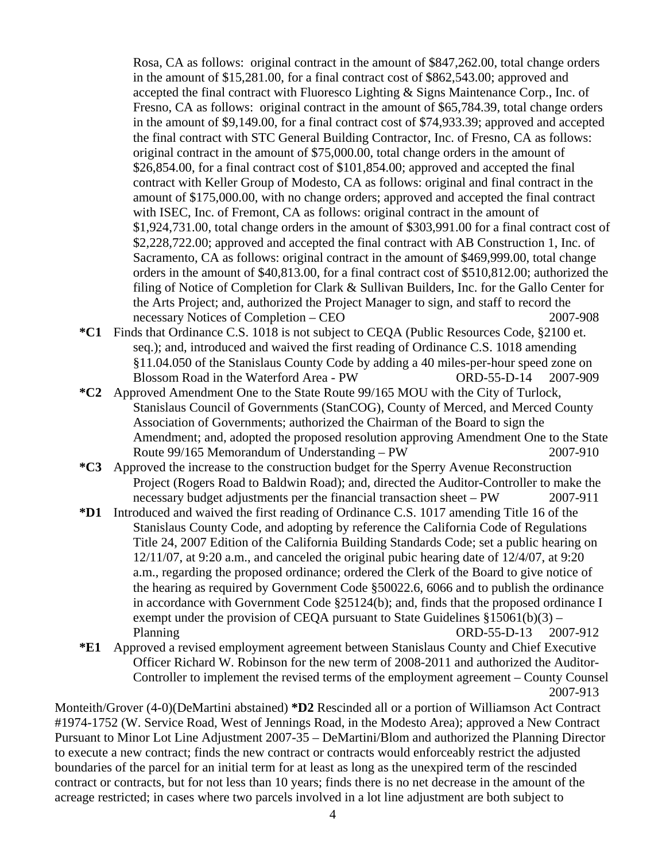Rosa, CA as follows: original contract in the amount of \$847,262.00, total change orders in the amount of \$15,281.00, for a final contract cost of \$862,543.00; approved and accepted the final contract with Fluoresco Lighting & Signs Maintenance Corp., Inc. of Fresno, CA as follows: original contract in the amount of \$65,784.39, total change orders in the amount of \$9,149.00, for a final contract cost of \$74,933.39; approved and accepted the final contract with STC General Building Contractor, Inc. of Fresno, CA as follows: original contract in the amount of \$75,000.00, total change orders in the amount of \$26,854.00, for a final contract cost of \$101,854.00; approved and accepted the final contract with Keller Group of Modesto, CA as follows: original and final contract in the amount of \$175,000.00, with no change orders; approved and accepted the final contract with ISEC, Inc. of Fremont, CA as follows: original contract in the amount of \$1,924,731.00, total change orders in the amount of \$303,991.00 for a final contract cost of \$2,228,722.00; approved and accepted the final contract with AB Construction 1, Inc. of Sacramento, CA as follows: original contract in the amount of \$469,999.00, total change orders in the amount of \$40,813.00, for a final contract cost of \$510,812.00; authorized the filing of Notice of Completion for Clark & Sullivan Builders, Inc. for the Gallo Center for the Arts Project; and, authorized the Project Manager to sign, and staff to record the necessary Notices of Completion – CEO 2007-908

- **\*C1** Finds that Ordinance C.S. 1018 is not subject to CEQA (Public Resources Code, §2100 et. seq.); and, introduced and waived the first reading of Ordinance C.S. 1018 amending §11.04.050 of the Stanislaus County Code by adding a 40 miles-per-hour speed zone on Blossom Road in the Waterford Area - PWORD-55-D-14 2007-909
- **\*C2** Approved Amendment One to the State Route 99/165 MOU with the City of Turlock, Stanislaus Council of Governments (StanCOG), County of Merced, and Merced County Association of Governments; authorized the Chairman of the Board to sign the Amendment; and, adopted the proposed resolution approving Amendment One to the State Route 99/165 Memorandum of Understanding – PW 2007-910
- **\*C3** Approved the increase to the construction budget for the Sperry Avenue Reconstruction Project (Rogers Road to Baldwin Road); and, directed the Auditor-Controller to make the necessary budget adjustments per the financial transaction sheet – PW 2007-911
- **\*D1** Introduced and waived the first reading of Ordinance C.S. 1017 amending Title 16 of the Stanislaus County Code, and adopting by reference the California Code of Regulations Title 24, 2007 Edition of the California Building Standards Code; set a public hearing on 12/11/07, at 9:20 a.m., and canceled the original pubic hearing date of 12/4/07, at 9:20 a.m., regarding the proposed ordinance; ordered the Clerk of the Board to give notice of the hearing as required by Government Code §50022.6, 6066 and to publish the ordinance in accordance with Government Code §25124(b); and, finds that the proposed ordinance I exempt under the provision of CEQA pursuant to State Guidelines  $$15061(b)(3)$  – Planning ORD-55-D-13 2007-912
- **\*E1** Approved a revised employment agreement between Stanislaus County and Chief Executive Officer Richard W. Robinson for the new term of 2008-2011 and authorized the Auditor-Controller to implement the revised terms of the employment agreement – County Counsel 2007-913

Monteith/Grover (4-0)(DeMartini abstained) **\*D2** Rescinded all or a portion of Williamson Act Contract #1974-1752 (W. Service Road, West of Jennings Road, in the Modesto Area); approved a New Contract Pursuant to Minor Lot Line Adjustment 2007-35 – DeMartini/Blom and authorized the Planning Director to execute a new contract; finds the new contract or contracts would enforceably restrict the adjusted boundaries of the parcel for an initial term for at least as long as the unexpired term of the rescinded contract or contracts, but for not less than 10 years; finds there is no net decrease in the amount of the acreage restricted; in cases where two parcels involved in a lot line adjustment are both subject to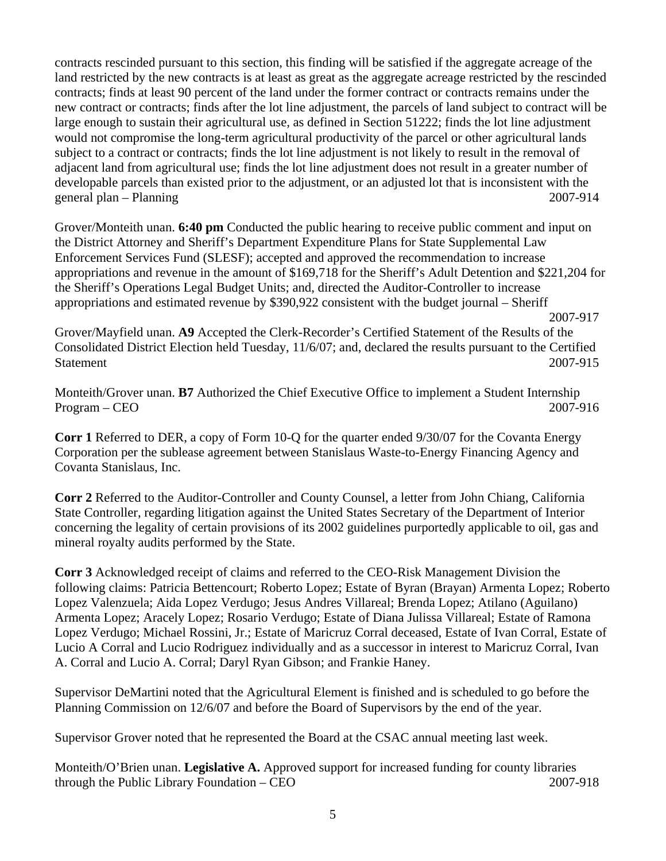contracts rescinded pursuant to this section, this finding will be satisfied if the aggregate acreage of the land restricted by the new contracts is at least as great as the aggregate acreage restricted by the rescinded contracts; finds at least 90 percent of the land under the former contract or contracts remains under the new contract or contracts; finds after the lot line adjustment, the parcels of land subject to contract will be large enough to sustain their agricultural use, as defined in Section 51222; finds the lot line adjustment would not compromise the long-term agricultural productivity of the parcel or other agricultural lands subject to a contract or contracts; finds the lot line adjustment is not likely to result in the removal of adjacent land from agricultural use; finds the lot line adjustment does not result in a greater number of developable parcels than existed prior to the adjustment, or an adjusted lot that is inconsistent with the general plan – Planning 2007-914

Grover/Monteith unan. **6:40 pm** Conducted the public hearing to receive public comment and input on the District Attorney and Sheriff's Department Expenditure Plans for State Supplemental Law Enforcement Services Fund (SLESF); accepted and approved the recommendation to increase appropriations and revenue in the amount of \$169,718 for the Sheriff's Adult Detention and \$221,204 for the Sheriff's Operations Legal Budget Units; and, directed the Auditor-Controller to increase appropriations and estimated revenue by \$390,922 consistent with the budget journal – Sheriff

Grover/Mayfield unan. **A9** Accepted the Clerk-Recorder's Certified Statement of the Results of the Consolidated District Election held Tuesday, 11/6/07; and, declared the results pursuant to the Certified Statement 2007-915

Monteith/Grover unan. **B7** Authorized the Chief Executive Office to implement a Student Internship Program – CEO 2007-916

**Corr 1** Referred to DER, a copy of Form 10-Q for the quarter ended 9/30/07 for the Covanta Energy Corporation per the sublease agreement between Stanislaus Waste-to-Energy Financing Agency and Covanta Stanislaus, Inc.

**Corr 2** Referred to the Auditor-Controller and County Counsel, a letter from John Chiang, California State Controller, regarding litigation against the United States Secretary of the Department of Interior concerning the legality of certain provisions of its 2002 guidelines purportedly applicable to oil, gas and mineral royalty audits performed by the State.

**Corr 3** Acknowledged receipt of claims and referred to the CEO-Risk Management Division the following claims: Patricia Bettencourt; Roberto Lopez; Estate of Byran (Brayan) Armenta Lopez; Roberto Lopez Valenzuela; Aida Lopez Verdugo; Jesus Andres Villareal; Brenda Lopez; Atilano (Aguilano) Armenta Lopez; Aracely Lopez; Rosario Verdugo; Estate of Diana Julissa Villareal; Estate of Ramona Lopez Verdugo; Michael Rossini, Jr.; Estate of Maricruz Corral deceased, Estate of Ivan Corral, Estate of Lucio A Corral and Lucio Rodriguez individually and as a successor in interest to Maricruz Corral, Ivan A. Corral and Lucio A. Corral; Daryl Ryan Gibson; and Frankie Haney.

Supervisor DeMartini noted that the Agricultural Element is finished and is scheduled to go before the Planning Commission on 12/6/07 and before the Board of Supervisors by the end of the year.

Supervisor Grover noted that he represented the Board at the CSAC annual meeting last week.

Monteith/O'Brien unan. **Legislative A.** Approved support for increased funding for county libraries through the Public Library Foundation – CEO 2007-918

 <sup>2007-917</sup>